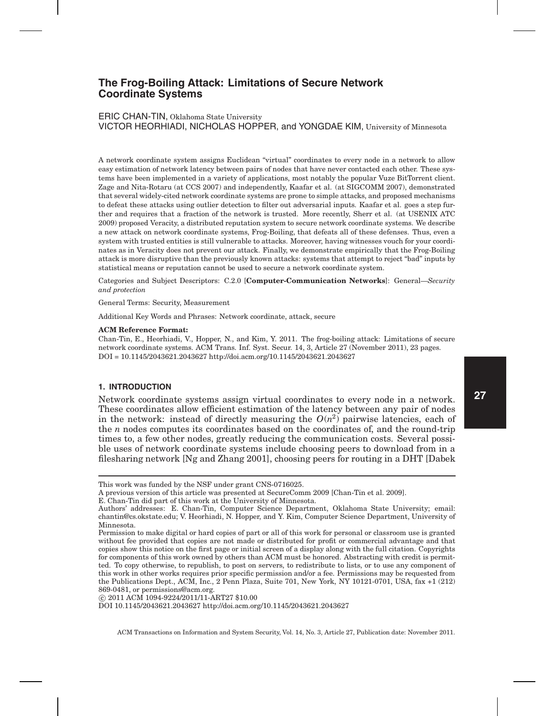## ERIC CHAN-TIN, Oklahoma State University

VICTOR HEORHIADI, NICHOLAS HOPPER, and YONGDAE KIM, University of Minnesota

A network coordinate system assigns Euclidean "virtual" coordinates to every node in a network to allow easy estimation of network latency between pairs of nodes that have never contacted each other. These systems have been implemented in a variety of applications, most notably the popular Vuze BitTorrent client. Zage and Nita-Rotaru (at CCS 2007) and independently, Kaafar et al. (at SIGCOMM 2007), demonstrated that several widely-cited network coordinate systems are prone to simple attacks, and proposed mechanisms to defeat these attacks using outlier detection to filter out adversarial inputs. Kaafar et al. goes a step further and requires that a fraction of the network is trusted. More recently, Sherr et al. (at USENIX ATC 2009) proposed Veracity, a distributed reputation system to secure network coordinate systems. We describe a new attack on network coordinate systems, Frog-Boiling, that defeats all of these defenses. Thus, even a system with trusted entities is still vulnerable to attacks. Moreover, having witnesses vouch for your coordinates as in Veracity does not prevent our attack. Finally, we demonstrate empirically that the Frog-Boiling attack is more disruptive than the previously known attacks: systems that attempt to reject "bad" inputs by statistical means or reputation cannot be used to secure a network coordinate system.

Categories and Subject Descriptors: C.2.0 [**Computer-Communication Networks**]: General—*Security and protection*

General Terms: Security, Measurement

Additional Key Words and Phrases: Network coordinate, attack, secure

#### **ACM Reference Format:**

Chan-Tin, E., Heorhiadi, V., Hopper, N., and Kim, Y. 2011. The frog-boiling attack: Limitations of secure network coordinate systems. ACM Trans. Inf. Syst. Secur. 14, 3, Article 27 (November 2011), 23 pages. DOI = 10.1145/2043621.2043627 http://doi.acm.org/10.1145/2043621.2043627

## **1. INTRODUCTION**

Network coordinate systems assign virtual coordinates to every node in a network. These coordinates allow efficient estimation of the latency between any pair of nodes in the network: instead of directly measuring the  $O(n^2)$  pairwise latencies, each of the *n* nodes computes its coordinates based on the coordinates of, and the round-trip times to, a few other nodes, greatly reducing the communication costs. Several possible uses of network coordinate systems include choosing peers to download from in a filesharing network [Ng and Zhang 2001], choosing peers for routing in a DHT [Dabek

-c 2011 ACM 1094-9224/2011/11-ART27 \$10.00

DOI 10.1145/2043621.2043627 http://doi.acm.org/10.1145/2043621.2043627

ACM Transactions on Information and System Security, Vol. 14, No. 3, Article 27, Publication date: November 2011.

**27**

This work was funded by the NSF under grant CNS-0716025.

A previous version of this article was presented at SecureComm 2009 [Chan-Tin et al. 2009].

E. Chan-Tin did part of this work at the University of Minnesota.

Authors' addresses: E. Chan-Tin, Computer Science Department, Oklahoma State University; email: chantin@cs.okstate.edu; V. Heorhiadi, N. Hopper, and Y. Kim, Computer Science Department, University of Minnesota.

Permission to make digital or hard copies of part or all of this work for personal or classroom use is granted without fee provided that copies are not made or distributed for profit or commercial advantage and that copies show this notice on the first page or initial screen of a display along with the full citation. Copyrights for components of this work owned by others than ACM must be honored. Abstracting with credit is permitted. To copy otherwise, to republish, to post on servers, to redistribute to lists, or to use any component of this work in other works requires prior specific permission and/or a fee. Permissions may be requested from the Publications Dept., ACM, Inc., 2 Penn Plaza, Suite 701, New York, NY 10121-0701, USA, fax +1 (212) 869-0481, or permissions@acm.org.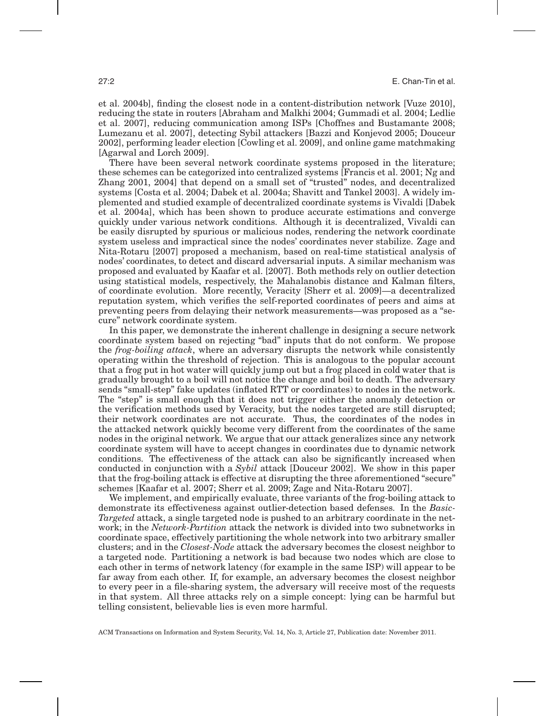et al. 2004b], finding the closest node in a content-distribution network [Vuze 2010], reducing the state in routers [Abraham and Malkhi 2004; Gummadi et al. 2004; Ledlie et al. 2007], reducing communication among ISPs [Choffnes and Bustamante 2008; Lumezanu et al. 2007], detecting Sybil attackers [Bazzi and Konjevod 2005; Douceur 2002], performing leader election [Cowling et al. 2009], and online game matchmaking [Agarwal and Lorch 2009].

There have been several network coordinate systems proposed in the literature; these schemes can be categorized into centralized systems [Francis et al. 2001; Ng and Zhang 2001, 2004] that depend on a small set of "trusted" nodes, and decentralized systems [Costa et al. 2004; Dabek et al. 2004a; Shavitt and Tankel 2003]. A widely implemented and studied example of decentralized coordinate systems is Vivaldi [Dabek et al. 2004a], which has been shown to produce accurate estimations and converge quickly under various network conditions. Although it is decentralized, Vivaldi can be easily disrupted by spurious or malicious nodes, rendering the network coordinate system useless and impractical since the nodes' coordinates never stabilize. Zage and Nita-Rotaru [2007] proposed a mechanism, based on real-time statistical analysis of nodes' coordinates, to detect and discard adversarial inputs. A similar mechanism was proposed and evaluated by Kaafar et al. [2007]. Both methods rely on outlier detection using statistical models, respectively, the Mahalanobis distance and Kalman filters, of coordinate evolution. More recently, Veracity [Sherr et al. 2009]—a decentralized reputation system, which verifies the self-reported coordinates of peers and aims at preventing peers from delaying their network measurements—was proposed as a "secure" network coordinate system.

In this paper, we demonstrate the inherent challenge in designing a secure network coordinate system based on rejecting "bad" inputs that do not conform. We propose the *frog-boiling attack*, where an adversary disrupts the network while consistently operating within the threshold of rejection. This is analogous to the popular account that a frog put in hot water will quickly jump out but a frog placed in cold water that is gradually brought to a boil will not notice the change and boil to death. The adversary sends "small-step" fake updates (inflated RTT or coordinates) to nodes in the network. The "step" is small enough that it does not trigger either the anomaly detection or the verification methods used by Veracity, but the nodes targeted are still disrupted; their network coordinates are not accurate. Thus, the coordinates of the nodes in the attacked network quickly become very different from the coordinates of the same nodes in the original network. We argue that our attack generalizes since any network coordinate system will have to accept changes in coordinates due to dynamic network conditions. The effectiveness of the attack can also be significantly increased when conducted in conjunction with a *Sybil* attack [Douceur 2002]. We show in this paper that the frog-boiling attack is effective at disrupting the three aforementioned "secure" schemes [Kaafar et al. 2007; Sherr et al. 2009; Zage and Nita-Rotaru 2007].

We implement, and empirically evaluate, three variants of the frog-boiling attack to demonstrate its effectiveness against outlier-detection based defenses. In the *Basic-Targeted* attack, a single targeted node is pushed to an arbitrary coordinate in the network; in the *Network-Partition* attack the network is divided into two subnetworks in coordinate space, effectively partitioning the whole network into two arbitrary smaller clusters; and in the *Closest-Node* attack the adversary becomes the closest neighbor to a targeted node. Partitioning a network is bad because two nodes which are close to each other in terms of network latency (for example in the same ISP) will appear to be far away from each other. If, for example, an adversary becomes the closest neighbor to every peer in a file-sharing system, the adversary will receive most of the requests in that system. All three attacks rely on a simple concept: lying can be harmful but telling consistent, believable lies is even more harmful.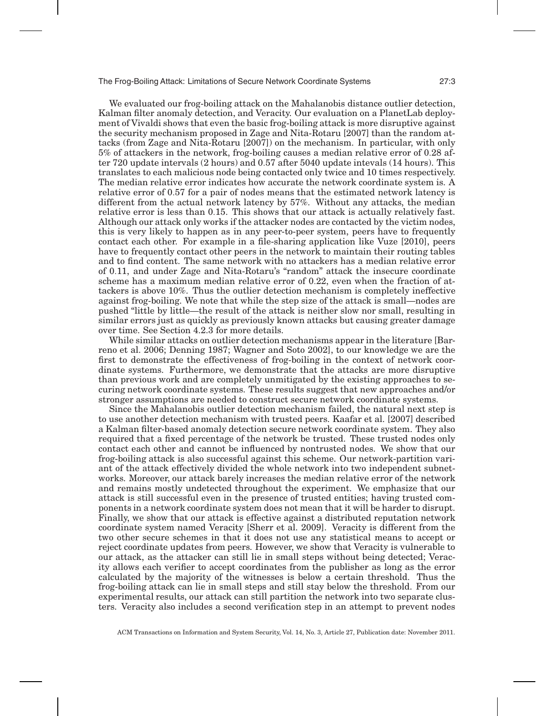We evaluated our frog-boiling attack on the Mahalanobis distance outlier detection, Kalman filter anomaly detection, and Veracity. Our evaluation on a PlanetLab deployment of Vivaldi shows that even the basic frog-boiling attack is more disruptive against the security mechanism proposed in Zage and Nita-Rotaru [2007] than the random attacks (from Zage and Nita-Rotaru [2007]) on the mechanism. In particular, with only 5% of attackers in the network, frog-boiling causes a median relative error of 0.28 after 720 update intervals (2 hours) and 0.57 after 5040 update intevals (14 hours). This translates to each malicious node being contacted only twice and 10 times respectively. The median relative error indicates how accurate the network coordinate system is. A relative error of 0.57 for a pair of nodes means that the estimated network latency is different from the actual network latency by 57%. Without any attacks, the median relative error is less than 0.15. This shows that our attack is actually relatively fast. Although our attack only works if the attacker nodes are contacted by the victim nodes, this is very likely to happen as in any peer-to-peer system, peers have to frequently contact each other. For example in a file-sharing application like Vuze [2010], peers have to frequently contact other peers in the network to maintain their routing tables and to find content. The same network with no attackers has a median relative error of 0.11, and under Zage and Nita-Rotaru's "random" attack the insecure coordinate scheme has a maximum median relative error of 0.22, even when the fraction of attackers is above 10%. Thus the outlier detection mechanism is completely ineffective against frog-boiling. We note that while the step size of the attack is small—nodes are pushed "little by little—the result of the attack is neither slow nor small, resulting in similar errors just as quickly as previously known attacks but causing greater damage over time. See Section 4.2.3 for more details.

While similar attacks on outlier detection mechanisms appear in the literature [Barreno et al. 2006; Denning 1987; Wagner and Soto 2002], to our knowledge we are the first to demonstrate the effectiveness of frog-boiling in the context of network coordinate systems. Furthermore, we demonstrate that the attacks are more disruptive than previous work and are completely unmitigated by the existing approaches to securing network coordinate systems. These results suggest that new approaches and/or stronger assumptions are needed to construct secure network coordinate systems.

Since the Mahalanobis outlier detection mechanism failed, the natural next step is to use another detection mechanism with trusted peers. Kaafar et al. [2007] described a Kalman filter-based anomaly detection secure network coordinate system. They also required that a fixed percentage of the network be trusted. These trusted nodes only contact each other and cannot be influenced by nontrusted nodes. We show that our frog-boiling attack is also successful against this scheme. Our network-partition variant of the attack effectively divided the whole network into two independent subnetworks. Moreover, our attack barely increases the median relative error of the network and remains mostly undetected throughout the experiment. We emphasize that our attack is still successful even in the presence of trusted entities; having trusted components in a network coordinate system does not mean that it will be harder to disrupt. Finally, we show that our attack is effective against a distributed reputation network coordinate system named Veracity [Sherr et al. 2009]. Veracity is different from the two other secure schemes in that it does not use any statistical means to accept or reject coordinate updates from peers. However, we show that Veracity is vulnerable to our attack, as the attacker can still lie in small steps without being detected; Veracity allows each verifier to accept coordinates from the publisher as long as the error calculated by the majority of the witnesses is below a certain threshold. Thus the frog-boiling attack can lie in small steps and still stay below the threshold. From our experimental results, our attack can still partition the network into two separate clusters. Veracity also includes a second verification step in an attempt to prevent nodes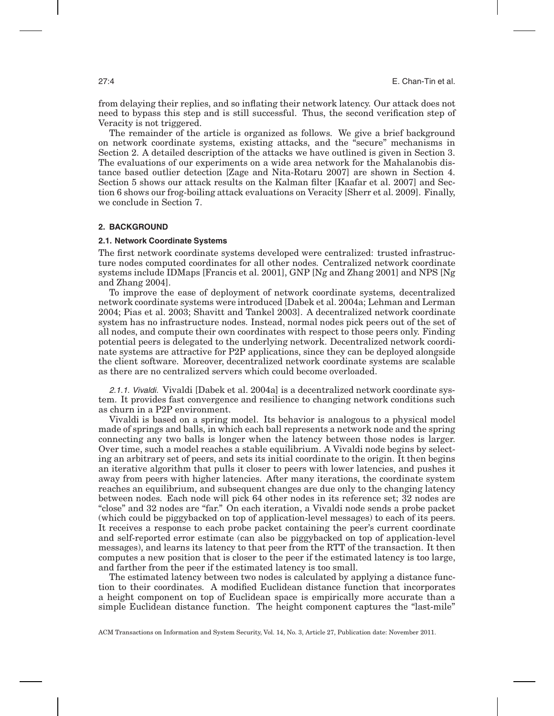from delaying their replies, and so inflating their network latency. Our attack does not need to bypass this step and is still successful. Thus, the second verification step of Veracity is not triggered.

The remainder of the article is organized as follows. We give a brief background on network coordinate systems, existing attacks, and the "secure" mechanisms in Section 2. A detailed description of the attacks we have outlined is given in Section 3. The evaluations of our experiments on a wide area network for the Mahalanobis distance based outlier detection [Zage and Nita-Rotaru 2007] are shown in Section 4. Section 5 shows our attack results on the Kalman filter [Kaafar et al. 2007] and Section 6 shows our frog-boiling attack evaluations on Veracity [Sherr et al. 2009]. Finally, we conclude in Section 7.

## **2. BACKGROUND**

#### **2.1. Network Coordinate Systems**

The first network coordinate systems developed were centralized: trusted infrastructure nodes computed coordinates for all other nodes. Centralized network coordinate systems include IDMaps [Francis et al. 2001], GNP [Ng and Zhang 2001] and NPS [Ng and Zhang 2004].

To improve the ease of deployment of network coordinate systems, decentralized network coordinate systems were introduced [Dabek et al. 2004a; Lehman and Lerman 2004; Pias et al. 2003; Shavitt and Tankel 2003]. A decentralized network coordinate system has no infrastructure nodes. Instead, normal nodes pick peers out of the set of all nodes, and compute their own coordinates with respect to those peers only. Finding potential peers is delegated to the underlying network. Decentralized network coordinate systems are attractive for P2P applications, since they can be deployed alongside the client software. Moreover, decentralized network coordinate systems are scalable as there are no centralized servers which could become overloaded.

2.1.1. Vivaldi. Vivaldi [Dabek et al. 2004a] is a decentralized network coordinate system. It provides fast convergence and resilience to changing network conditions such as churn in a P2P environment.

Vivaldi is based on a spring model. Its behavior is analogous to a physical model made of springs and balls, in which each ball represents a network node and the spring connecting any two balls is longer when the latency between those nodes is larger. Over time, such a model reaches a stable equilibrium. A Vivaldi node begins by selecting an arbitrary set of peers, and sets its initial coordinate to the origin. It then begins an iterative algorithm that pulls it closer to peers with lower latencies, and pushes it away from peers with higher latencies. After many iterations, the coordinate system reaches an equilibrium, and subsequent changes are due only to the changing latency between nodes. Each node will pick 64 other nodes in its reference set; 32 nodes are "close" and 32 nodes are "far." On each iteration, a Vivaldi node sends a probe packet (which could be piggybacked on top of application-level messages) to each of its peers. It receives a response to each probe packet containing the peer's current coordinate and self-reported error estimate (can also be piggybacked on top of application-level messages), and learns its latency to that peer from the RTT of the transaction. It then computes a new position that is closer to the peer if the estimated latency is too large, and farther from the peer if the estimated latency is too small.

The estimated latency between two nodes is calculated by applying a distance function to their coordinates. A modified Euclidean distance function that incorporates a height component on top of Euclidean space is empirically more accurate than a simple Euclidean distance function. The height component captures the "last-mile"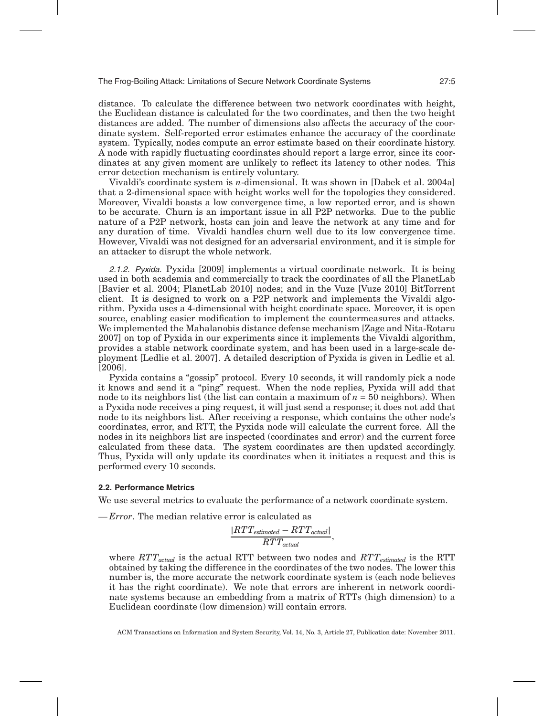distance. To calculate the difference between two network coordinates with height, the Euclidean distance is calculated for the two coordinates, and then the two height distances are added. The number of dimensions also affects the accuracy of the coordinate system. Self-reported error estimates enhance the accuracy of the coordinate system. Typically, nodes compute an error estimate based on their coordinate history. A node with rapidly fluctuating coordinates should report a large error, since its coordinates at any given moment are unlikely to reflect its latency to other nodes. This error detection mechanism is entirely voluntary.

Vivaldi's coordinate system is *n*-dimensional. It was shown in [Dabek et al. 2004a] that a 2-dimensional space with height works well for the topologies they considered. Moreover, Vivaldi boasts a low convergence time, a low reported error, and is shown to be accurate. Churn is an important issue in all P2P networks. Due to the public nature of a P2P network, hosts can join and leave the network at any time and for any duration of time. Vivaldi handles churn well due to its low convergence time. However, Vivaldi was not designed for an adversarial environment, and it is simple for an attacker to disrupt the whole network.

2.1.2. Pyxida. Pyxida [2009] implements a virtual coordinate network. It is being used in both academia and commercially to track the coordinates of all the PlanetLab [Bavier et al. 2004; PlanetLab 2010] nodes; and in the Vuze [Vuze 2010] BitTorrent client. It is designed to work on a P2P network and implements the Vivaldi algorithm. Pyxida uses a 4-dimensional with height coordinate space. Moreover, it is open source, enabling easier modification to implement the countermeasures and attacks. We implemented the Mahalanobis distance defense mechanism [Zage and Nita-Rotaru 2007] on top of Pyxida in our experiments since it implements the Vivaldi algorithm, provides a stable network coordinate system, and has been used in a large-scale deployment [Ledlie et al. 2007]. A detailed description of Pyxida is given in Ledlie et al. [2006].

Pyxida contains a "gossip" protocol. Every 10 seconds, it will randomly pick a node it knows and send it a "ping" request. When the node replies, Pyxida will add that node to its neighbors list (the list can contain a maximum of  $n = 50$  neighbors). When a Pyxida node receives a ping request, it will just send a response; it does not add that node to its neighbors list. After receiving a response, which contains the other node's coordinates, error, and RTT, the Pyxida node will calculate the current force. All the nodes in its neighbors list are inspected (coordinates and error) and the current force calculated from these data. The system coordinates are then updated accordingly. Thus, Pyxida will only update its coordinates when it initiates a request and this is performed every 10 seconds.

#### **2.2. Performance Metrics**

We use several metrics to evaluate the performance of a network coordinate system.

— *Error*. The median relative error is calculated as

$$
\frac{|RTT_{estimated}-RTT_{actual}|}{RTT_{actual}}
$$

,

where  $RTT_{actual}$  is the actual RTT between two nodes and  $RTT_{estimated}$  is the RTT obtained by taking the difference in the coordinates of the two nodes. The lower this number is, the more accurate the network coordinate system is (each node believes it has the right coordinate). We note that errors are inherent in network coordinate systems because an embedding from a matrix of RTTs (high dimension) to a Euclidean coordinate (low dimension) will contain errors.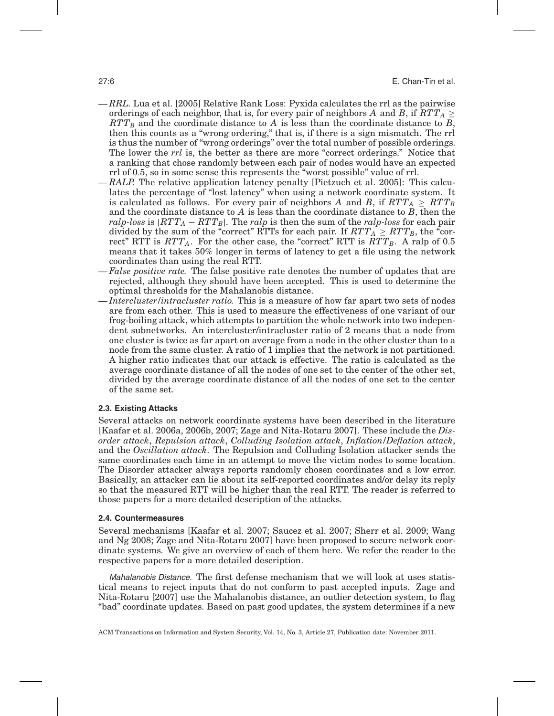- *RRL.* Lua et al. [2005] Relative Rank Loss: Pyxida calculates the rrl as the pairwise orderings of each neighbor, that is, for every pair of neighbors *A* and *B*, if  $\overline{RTT_A} \ge$  $RTT_B$  and the coordinate distance to *A* is less than the coordinate distance to *B*, then this counts as a "wrong ordering," that is, if there is a sign mismatch. The rrl is thus the number of "wrong orderings" over the total number of possible orderings. The lower the *rrl* is, the better as there are more "correct orderings." Notice that a ranking that chose randomly between each pair of nodes would have an expected rrl of 0.5, so in some sense this represents the "worst possible" value of rrl.
- *RALP.* The relative application latency penalty [Pietzuch et al. 2005]: This calculates the percentage of "lost latency" when using a network coordinate system. It is calculated as follows. For every pair of neighbors *A* and *B*, if  $RTT_A \geq RTT_B$ and the coordinate distance to *A* is less than the coordinate distance to *B*, then the *ralp-loss* is  $|RTT_A - RTT_B|$ . The *ralp* is then the sum of the *ralp-loss* for each pair divided by the sum of the "correct" RTTs for each pair. If  $RTT_A \geq RTT_B$ , the "correct" RTT is  $RTT_A$ . For the other case, the "correct" RTT is  $RTT_B$ . A ralp of 0.5 means that it takes 50% longer in terms of latency to get a file using the network coordinates than using the real RTT.
- *False positive rate.* The false positive rate denotes the number of updates that are rejected, although they should have been accepted. This is used to determine the optimal thresholds for the Mahalanobis distance.
- *Intercluster/intracluster ratio.* This is a measure of how far apart two sets of nodes are from each other. This is used to measure the effectiveness of one variant of our frog-boiling attack, which attempts to partition the whole network into two independent subnetworks. An intercluster/intracluster ratio of 2 means that a node from one cluster is twice as far apart on average from a node in the other cluster than to a node from the same cluster. A ratio of 1 implies that the network is not partitioned. A higher ratio indicates that our attack is effective. The ratio is calculated as the average coordinate distance of all the nodes of one set to the center of the other set, divided by the average coordinate distance of all the nodes of one set to the center of the same set.

## **2.3. Existing Attacks**

Several attacks on network coordinate systems have been described in the literature [Kaafar et al. 2006a, 2006b, 2007; Zage and Nita-Rotaru 2007]. These include the *Disorder attack*, *Repulsion attack*, *Colluding Isolation attack*, *Inflation/Deflation attack*, and the *Oscillation attack*. The Repulsion and Colluding Isolation attacker sends the same coordinates each time in an attempt to move the victim nodes to some location. The Disorder attacker always reports randomly chosen coordinates and a low error. Basically, an attacker can lie about its self-reported coordinates and/or delay its reply so that the measured RTT will be higher than the real RTT. The reader is referred to those papers for a more detailed description of the attacks.

#### **2.4. Countermeasures**

Several mechanisms [Kaafar et al. 2007; Saucez et al. 2007; Sherr et al. 2009; Wang and Ng 2008; Zage and Nita-Rotaru 2007] have been proposed to secure network coordinate systems. We give an overview of each of them here. We refer the reader to the respective papers for a more detailed description.

Mahalanobis Distance. The first defense mechanism that we will look at uses statistical means to reject inputs that do not conform to past accepted inputs. Zage and Nita-Rotaru [2007] use the Mahalanobis distance, an outlier detection system, to flag "bad" coordinate updates. Based on past good updates, the system determines if a new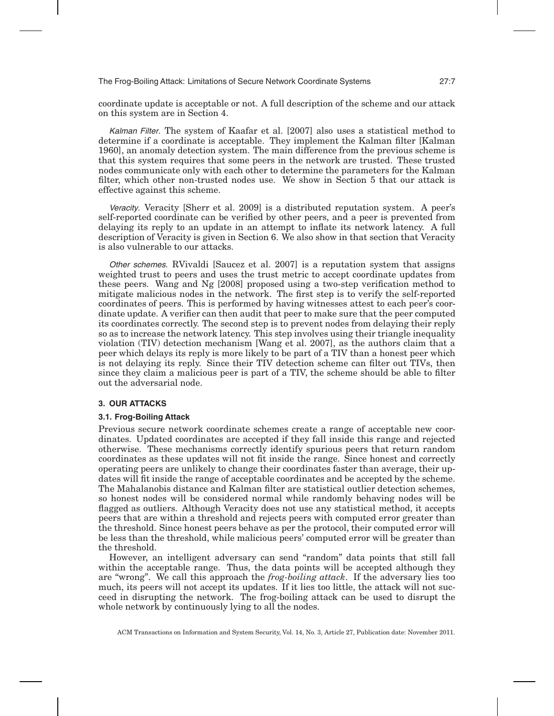coordinate update is acceptable or not. A full description of the scheme and our attack on this system are in Section 4.

Kalman Filter. The system of Kaafar et al. [2007] also uses a statistical method to determine if a coordinate is acceptable. They implement the Kalman filter [Kalman 1960], an anomaly detection system. The main difference from the previous scheme is that this system requires that some peers in the network are trusted. These trusted nodes communicate only with each other to determine the parameters for the Kalman filter, which other non-trusted nodes use. We show in Section 5 that our attack is effective against this scheme.

Veracity. Veracity [Sherr et al. 2009] is a distributed reputation system. A peer's self-reported coordinate can be verified by other peers, and a peer is prevented from delaying its reply to an update in an attempt to inflate its network latency. A full description of Veracity is given in Section 6. We also show in that section that Veracity is also vulnerable to our attacks.

Other schemes. RVivaldi [Saucez et al. 2007] is a reputation system that assigns weighted trust to peers and uses the trust metric to accept coordinate updates from these peers. Wang and Ng [2008] proposed using a two-step verification method to mitigate malicious nodes in the network. The first step is to verify the self-reported coordinates of peers. This is performed by having witnesses attest to each peer's coordinate update. A verifier can then audit that peer to make sure that the peer computed its coordinates correctly. The second step is to prevent nodes from delaying their reply so as to increase the network latency. This step involves using their triangle inequality violation (TIV) detection mechanism [Wang et al. 2007], as the authors claim that a peer which delays its reply is more likely to be part of a TIV than a honest peer which is not delaying its reply. Since their TIV detection scheme can filter out TIVs, then since they claim a malicious peer is part of a TIV, the scheme should be able to filter out the adversarial node.

## **3. OUR ATTACKS**

#### **3.1. Frog-Boiling Attack**

Previous secure network coordinate schemes create a range of acceptable new coordinates. Updated coordinates are accepted if they fall inside this range and rejected otherwise. These mechanisms correctly identify spurious peers that return random coordinates as these updates will not fit inside the range. Since honest and correctly operating peers are unlikely to change their coordinates faster than average, their updates will fit inside the range of acceptable coordinates and be accepted by the scheme. The Mahalanobis distance and Kalman filter are statistical outlier detection schemes, so honest nodes will be considered normal while randomly behaving nodes will be flagged as outliers. Although Veracity does not use any statistical method, it accepts peers that are within a threshold and rejects peers with computed error greater than the threshold. Since honest peers behave as per the protocol, their computed error will be less than the threshold, while malicious peers' computed error will be greater than the threshold.

However, an intelligent adversary can send "random" data points that still fall within the acceptable range. Thus, the data points will be accepted although they are "wrong". We call this approach the *frog-boiling attack*. If the adversary lies too much, its peers will not accept its updates. If it lies too little, the attack will not succeed in disrupting the network. The frog-boiling attack can be used to disrupt the whole network by continuously lying to all the nodes.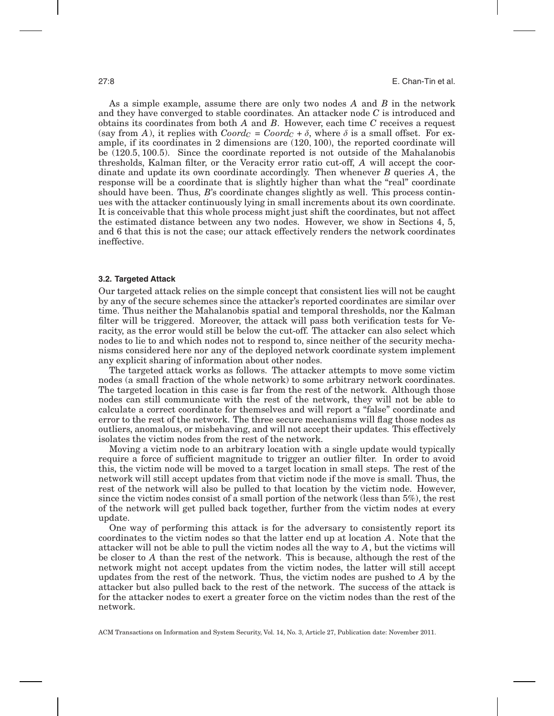As a simple example, assume there are only two nodes *A* and *B* in the network and they have converged to stable coordinates. An attacker node *C* is introduced and obtains its coordinates from both *A* and *B*. However, each time *C* receives a request (say from *A*), it replies with  $Coord_C = Coord + \delta$ , where  $\delta$  is a small offset. For example, if its coordinates in 2 dimensions are (120, 100), the reported coordinate will be (120.5, 100.5). Since the coordinate reported is not outside of the Mahalanobis thresholds, Kalman filter, or the Veracity error ratio cut-off, *A* will accept the coordinate and update its own coordinate accordingly. Then whenever *B* queries *A*, the response will be a coordinate that is slightly higher than what the "real" coordinate should have been. Thus, *B*'s coordinate changes slightly as well. This process continues with the attacker continuously lying in small increments about its own coordinate. It is conceivable that this whole process might just shift the coordinates, but not affect the estimated distance between any two nodes. However, we show in Sections 4, 5, and 6 that this is not the case; our attack effectively renders the network coordinates ineffective.

#### **3.2. Targeted Attack**

Our targeted attack relies on the simple concept that consistent lies will not be caught by any of the secure schemes since the attacker's reported coordinates are similar over time. Thus neither the Mahalanobis spatial and temporal thresholds, nor the Kalman filter will be triggered. Moreover, the attack will pass both verification tests for Veracity, as the error would still be below the cut-off. The attacker can also select which nodes to lie to and which nodes not to respond to, since neither of the security mechanisms considered here nor any of the deployed network coordinate system implement any explicit sharing of information about other nodes.

The targeted attack works as follows. The attacker attempts to move some victim nodes (a small fraction of the whole network) to some arbitrary network coordinates. The targeted location in this case is far from the rest of the network. Although those nodes can still communicate with the rest of the network, they will not be able to calculate a correct coordinate for themselves and will report a "false" coordinate and error to the rest of the network. The three secure mechanisms will flag those nodes as outliers, anomalous, or misbehaving, and will not accept their updates. This effectively isolates the victim nodes from the rest of the network.

Moving a victim node to an arbitrary location with a single update would typically require a force of sufficient magnitude to trigger an outlier filter. In order to avoid this, the victim node will be moved to a target location in small steps. The rest of the network will still accept updates from that victim node if the move is small. Thus, the rest of the network will also be pulled to that location by the victim node. However, since the victim nodes consist of a small portion of the network (less than 5%), the rest of the network will get pulled back together, further from the victim nodes at every update.

One way of performing this attack is for the adversary to consistently report its coordinates to the victim nodes so that the latter end up at location *A*. Note that the attacker will not be able to pull the victim nodes all the way to *A*, but the victims will be closer to *A* than the rest of the network. This is because, although the rest of the network might not accept updates from the victim nodes, the latter will still accept updates from the rest of the network. Thus, the victim nodes are pushed to *A* by the attacker but also pulled back to the rest of the network. The success of the attack is for the attacker nodes to exert a greater force on the victim nodes than the rest of the network.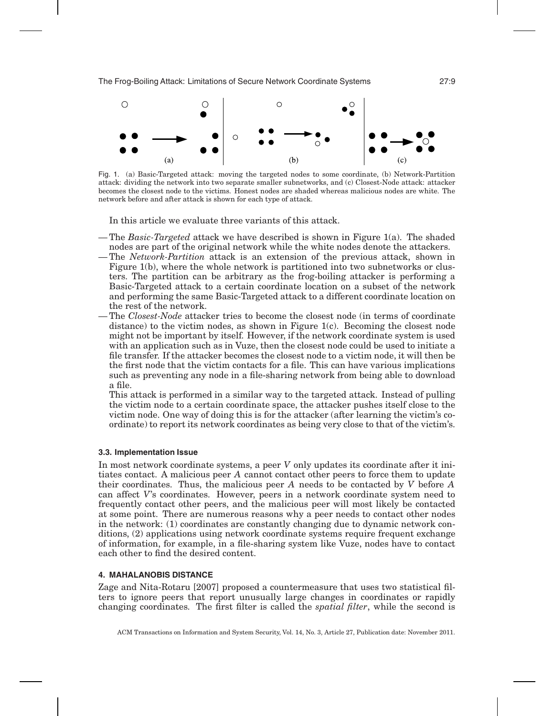

Fig. 1. (a) Basic-Targeted attack: moving the targeted nodes to some coordinate, (b) Network-Partition attack: dividing the network into two separate smaller subnetworks, and (c) Closest-Node attack: attacker becomes the closest node to the victims. Honest nodes are shaded whereas malicious nodes are white. The network before and after attack is shown for each type of attack.

In this article we evaluate three variants of this attack.

- The *Basic-Targeted* attack we have described is shown in Figure 1(a). The shaded nodes are part of the original network while the white nodes denote the attackers.
- The *Network-Partition* attack is an extension of the previous attack, shown in Figure 1(b), where the whole network is partitioned into two subnetworks or clusters. The partition can be arbitrary as the frog-boiling attacker is performing a Basic-Targeted attack to a certain coordinate location on a subset of the network and performing the same Basic-Targeted attack to a different coordinate location on the rest of the network.
- The *Closest-Node* attacker tries to become the closest node (in terms of coordinate distance) to the victim nodes, as shown in Figure 1(c). Becoming the closest node might not be important by itself. However, if the network coordinate system is used with an application such as in Vuze, then the closest node could be used to initiate a file transfer. If the attacker becomes the closest node to a victim node, it will then be the first node that the victim contacts for a file. This can have various implications such as preventing any node in a file-sharing network from being able to download a file.

This attack is performed in a similar way to the targeted attack. Instead of pulling the victim node to a certain coordinate space, the attacker pushes itself close to the victim node. One way of doing this is for the attacker (after learning the victim's coordinate) to report its network coordinates as being very close to that of the victim's.

## **3.3. Implementation Issue**

In most network coordinate systems, a peer *V* only updates its coordinate after it initiates contact. A malicious peer *A* cannot contact other peers to force them to update their coordinates. Thus, the malicious peer *A* needs to be contacted by *V* before *A* can affect *V*'s coordinates. However, peers in a network coordinate system need to frequently contact other peers, and the malicious peer will most likely be contacted at some point. There are numerous reasons why a peer needs to contact other nodes in the network: (1) coordinates are constantly changing due to dynamic network conditions, (2) applications using network coordinate systems require frequent exchange of information, for example, in a file-sharing system like Vuze, nodes have to contact each other to find the desired content.

#### **4. MAHALANOBIS DISTANCE**

Zage and Nita-Rotaru [2007] proposed a countermeasure that uses two statistical filters to ignore peers that report unusually large changes in coordinates or rapidly changing coordinates. The first filter is called the *spatial filter*, while the second is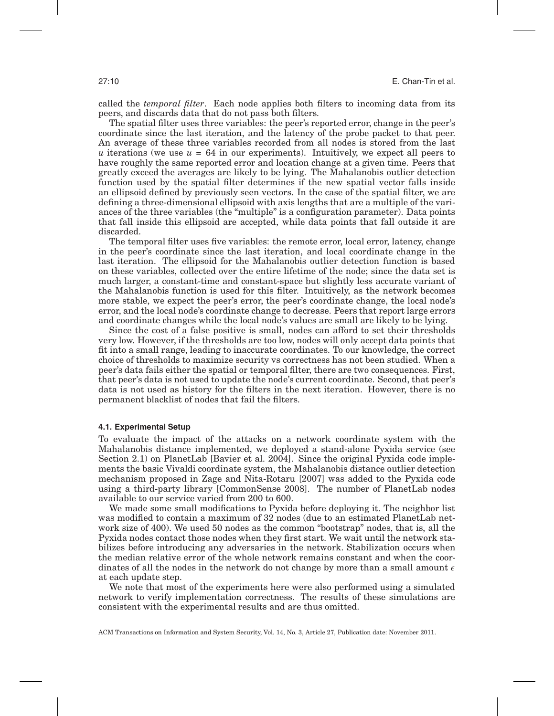called the *temporal filter*. Each node applies both filters to incoming data from its peers, and discards data that do not pass both filters.

The spatial filter uses three variables: the peer's reported error, change in the peer's coordinate since the last iteration, and the latency of the probe packet to that peer. An average of these three variables recorded from all nodes is stored from the last *u* iterations (we use  $u = 64$  in our experiments). Intuitively, we expect all peers to have roughly the same reported error and location change at a given time. Peers that greatly exceed the averages are likely to be lying. The Mahalanobis outlier detection function used by the spatial filter determines if the new spatial vector falls inside an ellipsoid defined by previously seen vectors. In the case of the spatial filter, we are defining a three-dimensional ellipsoid with axis lengths that are a multiple of the variances of the three variables (the "multiple" is a configuration parameter). Data points that fall inside this ellipsoid are accepted, while data points that fall outside it are discarded.

The temporal filter uses five variables: the remote error, local error, latency, change in the peer's coordinate since the last iteration, and local coordinate change in the last iteration. The ellipsoid for the Mahalanobis outlier detection function is based on these variables, collected over the entire lifetime of the node; since the data set is much larger, a constant-time and constant-space but slightly less accurate variant of the Mahalanobis function is used for this filter. Intuitively, as the network becomes more stable, we expect the peer's error, the peer's coordinate change, the local node's error, and the local node's coordinate change to decrease. Peers that report large errors and coordinate changes while the local node's values are small are likely to be lying.

Since the cost of a false positive is small, nodes can afford to set their thresholds very low. However, if the thresholds are too low, nodes will only accept data points that fit into a small range, leading to inaccurate coordinates. To our knowledge, the correct choice of thresholds to maximize security vs correctness has not been studied. When a peer's data fails either the spatial or temporal filter, there are two consequences. First, that peer's data is not used to update the node's current coordinate. Second, that peer's data is not used as history for the filters in the next iteration. However, there is no permanent blacklist of nodes that fail the filters.

#### **4.1. Experimental Setup**

To evaluate the impact of the attacks on a network coordinate system with the Mahalanobis distance implemented, we deployed a stand-alone Pyxida service (see Section 2.1) on PlanetLab [Bavier et al. 2004]. Since the original Pyxida code implements the basic Vivaldi coordinate system, the Mahalanobis distance outlier detection mechanism proposed in Zage and Nita-Rotaru [2007] was added to the Pyxida code using a third-party library [CommonSense 2008]. The number of PlanetLab nodes available to our service varied from 200 to 600.

We made some small modifications to Pyxida before deploying it. The neighbor list was modified to contain a maximum of 32 nodes (due to an estimated PlanetLab network size of 400). We used 50 nodes as the common "bootstrap" nodes, that is, all the Pyxida nodes contact those nodes when they first start. We wait until the network stabilizes before introducing any adversaries in the network. Stabilization occurs when the median relative error of the whole network remains constant and when the coordinates of all the nodes in the network do not change by more than a small amount  $\epsilon$ at each update step.

We note that most of the experiments here were also performed using a simulated network to verify implementation correctness. The results of these simulations are consistent with the experimental results and are thus omitted.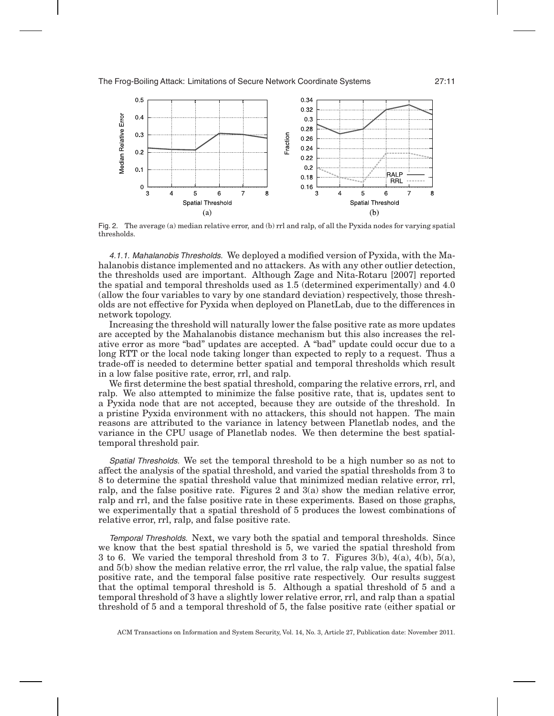

Fig. 2. The average (a) median relative error, and (b) rrl and ralp, of all the Pyxida nodes for varying spatial thresholds.

4.1.1. Mahalanobis Thresholds. We deployed a modified version of Pyxida, with the Mahalanobis distance implemented and no attackers. As with any other outlier detection, the thresholds used are important. Although Zage and Nita-Rotaru [2007] reported the spatial and temporal thresholds used as 1.5 (determined experimentally) and 4.0 (allow the four variables to vary by one standard deviation) respectively, those thresholds are not effective for Pyxida when deployed on PlanetLab, due to the differences in network topology.

Increasing the threshold will naturally lower the false positive rate as more updates are accepted by the Mahalanobis distance mechanism but this also increases the relative error as more "bad" updates are accepted. A "bad" update could occur due to a long RTT or the local node taking longer than expected to reply to a request. Thus a trade-off is needed to determine better spatial and temporal thresholds which result in a low false positive rate, error, rrl, and ralp.

We first determine the best spatial threshold, comparing the relative errors, rrl, and ralp. We also attempted to minimize the false positive rate, that is, updates sent to a Pyxida node that are not accepted, because they are outside of the threshold. In a pristine Pyxida environment with no attackers, this should not happen. The main reasons are attributed to the variance in latency between Planetlab nodes, and the variance in the CPU usage of Planetlab nodes. We then determine the best spatialtemporal threshold pair.

Spatial Thresholds. We set the temporal threshold to be a high number so as not to affect the analysis of the spatial threshold, and varied the spatial thresholds from 3 to 8 to determine the spatial threshold value that minimized median relative error, rrl, ralp, and the false positive rate. Figures 2 and 3(a) show the median relative error, ralp and rrl, and the false positive rate in these experiments. Based on those graphs, we experimentally that a spatial threshold of 5 produces the lowest combinations of relative error, rrl, ralp, and false positive rate.

Temporal Thresholds. Next, we vary both the spatial and temporal thresholds. Since we know that the best spatial threshold is 5, we varied the spatial threshold from 3 to 6. We varied the temporal threshold from 3 to 7. Figures 3(b), 4(a), 4(b), 5(a), and 5(b) show the median relative error, the rrl value, the ralp value, the spatial false positive rate, and the temporal false positive rate respectively. Our results suggest that the optimal temporal threshold is 5. Although a spatial threshold of 5 and a temporal threshold of 3 have a slightly lower relative error, rrl, and ralp than a spatial threshold of 5 and a temporal threshold of 5, the false positive rate (either spatial or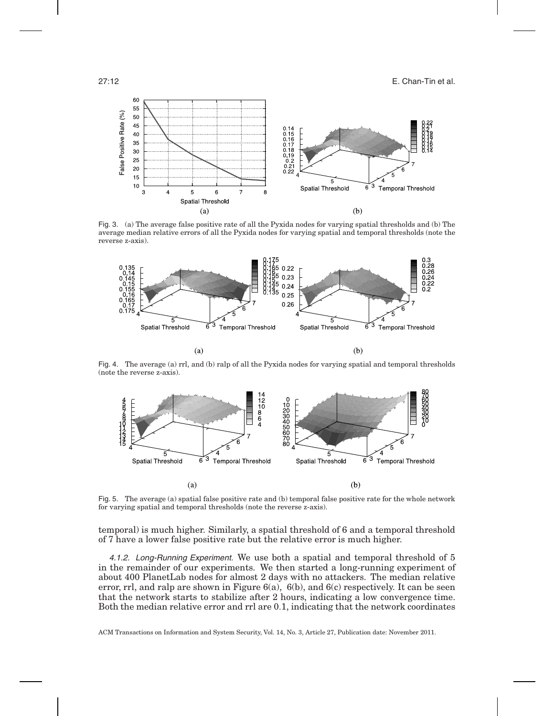

Fig. 3. (a) The average false positive rate of all the Pyxida nodes for varying spatial thresholds and (b) The average median relative errors of all the Pyxida nodes for varying spatial and temporal thresholds (note the reverse z-axis).



Fig. 4. The average (a) rrl, and (b) ralp of all the Pyxida nodes for varying spatial and temporal thresholds (note the reverse z-axis).



Fig. 5. The average (a) spatial false positive rate and (b) temporal false positive rate for the whole network for varying spatial and temporal thresholds (note the reverse z-axis).

temporal) is much higher. Similarly, a spatial threshold of 6 and a temporal threshold of 7 have a lower false positive rate but the relative error is much higher.

4.1.2. Long-Running Experiment. We use both a spatial and temporal threshold of 5 in the remainder of our experiments. We then started a long-running experiment of about 400 PlanetLab nodes for almost 2 days with no attackers. The median relative error, rrl, and ralp are shown in Figure 6(a), 6(b), and 6(c) respectively. It can be seen that the network starts to stabilize after 2 hours, indicating a low convergence time. Both the median relative error and rrl are 0.1, indicating that the network coordinates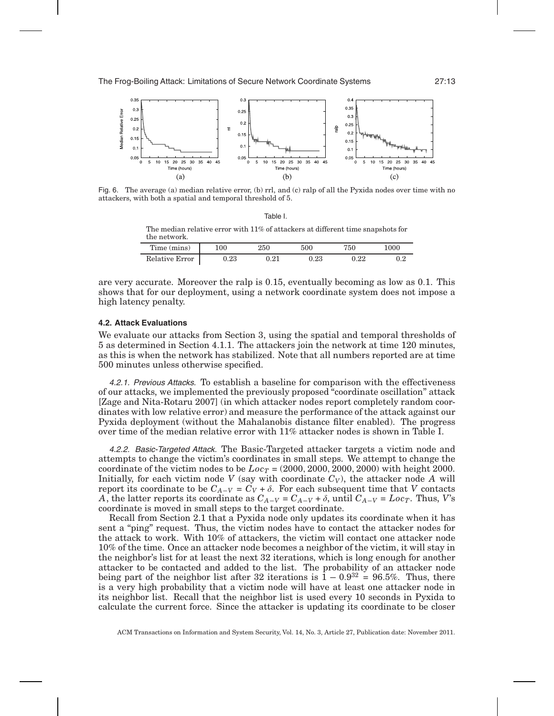

Fig. 6. The average (a) median relative error, (b) rrl, and (c) ralp of all the Pyxida nodes over time with no attackers, with both a spatial and temporal threshold of 5.

Table I.

| The median relative error with 11% of attackers at different time snapshots for<br>the network. |      |      |      |       |      |
|-------------------------------------------------------------------------------------------------|------|------|------|-------|------|
| Time (mins)                                                                                     | 100  | 250  | 500  | 750   | 1000 |
| Relative Error                                                                                  | 0.23 | 0.21 | 0.23 | 0.22. | 0.2  |

are very accurate. Moreover the ralp is 0.15, eventually becoming as low as 0.1. This shows that for our deployment, using a network coordinate system does not impose a high latency penalty.

### **4.2. Attack Evaluations**

We evaluate our attacks from Section 3, using the spatial and temporal thresholds of 5 as determined in Section 4.1.1. The attackers join the network at time 120 minutes, as this is when the network has stabilized. Note that all numbers reported are at time 500 minutes unless otherwise specified.

4.2.1. Previous Attacks. To establish a baseline for comparison with the effectiveness of our attacks, we implemented the previously proposed "coordinate oscillation" attack [Zage and Nita-Rotaru 2007] (in which attacker nodes report completely random coordinates with low relative error) and measure the performance of the attack against our Pyxida deployment (without the Mahalanobis distance filter enabled). The progress over time of the median relative error with 11% attacker nodes is shown in Table I.

4.2.2. Basic-Targeted Attack. The Basic-Targeted attacker targets a victim node and attempts to change the victim's coordinates in small steps. We attempt to change the coordinate of the victim nodes to be  $Loc_T = (2000, 2000, 2000, 2000)$  with height 2000. Initially, for each victim node *V* (say with coordinate  $C_V$ ), the attacker node *A* will report its coordinate to be  $C_{A-V} = C_V + \delta$ . For each subsequent time that *V* contacts *A*, the latter reports its coordinate as  $C_{A-V} = C_{A-V} + \delta$ , until  $C_{A-V} = Loc_T$ . Thus, *V*'s coordinate is moved in small steps to the target coordinate.

Recall from Section 2.1 that a Pyxida node only updates its coordinate when it has sent a "ping" request. Thus, the victim nodes have to contact the attacker nodes for the attack to work. With 10% of attackers, the victim will contact one attacker node 10% of the time. Once an attacker node becomes a neighbor of the victim, it will stay in the neighbor's list for at least the next 32 iterations, which is long enough for another attacker to be contacted and added to the list. The probability of an attacker node being part of the neighbor list after 32 iterations is  $1 - 0.9^{32} = 96.5\%$ . Thus, there is a very high probability that a victim node will have at least one attacker node in its neighbor list. Recall that the neighbor list is used every 10 seconds in Pyxida to calculate the current force. Since the attacker is updating its coordinate to be closer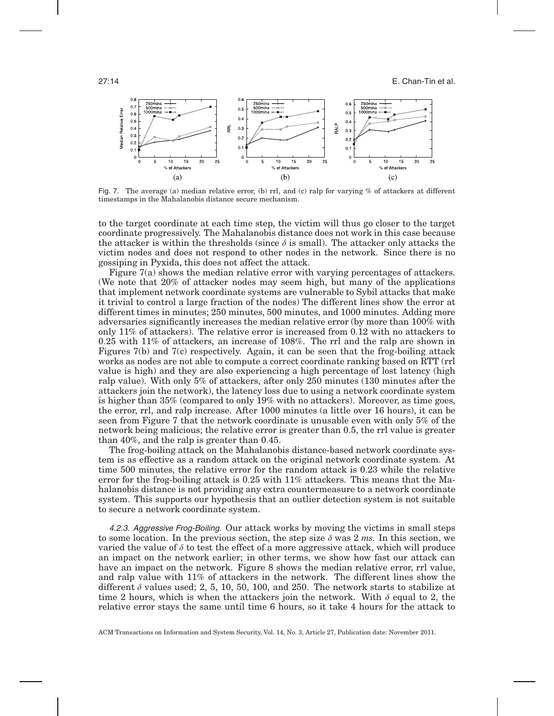

Fig. 7. The average (a) median relative error, (b) rrl, and (c) ralp for varying % of attackers at different timestamps in the Mahalanobis distance secure mechanism.

to the target coordinate at each time step, the victim will thus go closer to the target coordinate progressively. The Mahalanobis distance does not work in this case because the attacker is within the thresholds (since  $\delta$  is small). The attacker only attacks the victim nodes and does not respond to other nodes in the network. Since there is no gossiping in Pyxida, this does not affect the attack.

Figure 7(a) shows the median relative error with varying percentages of attackers. (We note that 20% of attacker nodes may seem high, but many of the applications that implement network coordinate systems are vulnerable to Sybil attacks that make it trivial to control a large fraction of the nodes) The different lines show the error at different times in minutes; 250 minutes, 500 minutes, and 1000 minutes. Adding more adversaries significantly increases the median relative error (by more than 100% with only 11% of attackers). The relative error is increased from 0.12 with no attackers to 0.25 with 11% of attackers, an increase of 108%. The rrl and the ralp are shown in Figures 7(b) and 7(c) respectively. Again, it can be seen that the frog-boiling attack works as nodes are not able to compute a correct coordinate ranking based on RTT (rrl value is high) and they are also experiencing a high percentage of lost latency (high ralp value). With only 5% of attackers, after only 250 minutes (130 minutes after the attackers join the network), the latency loss due to using a network coordinate system is higher than 35% (compared to only 19% with no attackers). Moreover, as time goes, the error, rrl, and ralp increase. After 1000 minutes (a little over 16 hours), it can be seen from Figure 7 that the network coordinate is unusable even with only 5% of the network being malicious; the relative error is greater than 0.5, the rrl value is greater than 40%, and the ralp is greater than 0.45.

The frog-boiling attack on the Mahalanobis distance-based network coordinate system is as effective as a random attack on the original network coordinate system. At time 500 minutes, the relative error for the random attack is 0.23 while the relative error for the frog-boiling attack is 0.25 with 11% attackers. This means that the Mahalanobis distance is not providing any extra countermeasure to a network coordinate system. This supports our hypothesis that an outlier detection system is not suitable to secure a network coordinate system.

4.2.3. Aggressive Frog-Boiling. Our attack works by moving the victims in small steps to some location. In the previous section, the step size  $\delta$  was 2 *ms*. In this section, we varied the value of  $\delta$  to test the effect of a more aggressive attack, which will produce an impact on the network earlier; in other terms, we show how fast our attack can have an impact on the network. Figure 8 shows the median relative error, rrl value, and ralp value with 11% of attackers in the network. The different lines show the different  $\delta$  values used; 2, 5, 10, 50, 100, and 250. The network starts to stabilize at time 2 hours, which is when the attackers join the network. With  $\delta$  equal to 2, the relative error stays the same until time 6 hours, so it take 4 hours for the attack to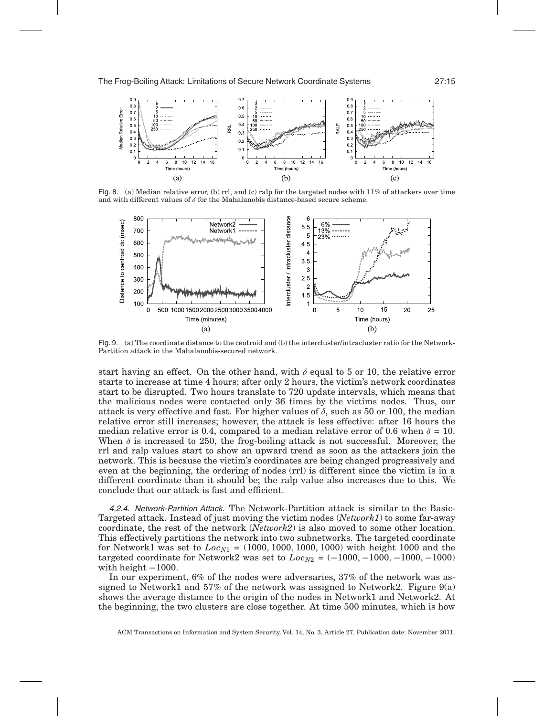

Fig. 8. (a) Median relative error, (b) rrl, and (c) ralp for the targeted nodes with 11% of attackers over time and with different values of  $\delta$  for the Mahalanobis distance-based secure scheme.



Fig. 9. (a) The coordinate distance to the centroid and (b) the intercluster/intracluster ratio for the Network-Partition attack in the Mahalanobis-secured network.

start having an effect. On the other hand, with  $\delta$  equal to 5 or 10, the relative error starts to increase at time 4 hours; after only 2 hours, the victim's network coordinates start to be disrupted. Two hours translate to 720 update intervals, which means that the malicious nodes were contacted only 36 times by the victims nodes. Thus, our attack is very effective and fast. For higher values of  $\delta$ , such as 50 or 100, the median relative error still increases; however, the attack is less effective: after 16 hours the median relative error is 0.4, compared to a median relative error of 0.6 when  $\delta = 10$ . When  $\delta$  is increased to 250, the frog-boiling attack is not successful. Moreover, the rrl and ralp values start to show an upward trend as soon as the attackers join the network. This is because the victim's coordinates are being changed progressively and even at the beginning, the ordering of nodes (rrl) is different since the victim is in a different coordinate than it should be; the ralp value also increases due to this. We conclude that our attack is fast and efficient.

4.2.4. Network-Partition Attack. The Network-Partition attack is similar to the Basic-Targeted attack. Instead of just moving the victim nodes (*Network1*) to some far-away coordinate, the rest of the network (*Network2*) is also moved to some other location. This effectively partitions the network into two subnetworks. The targeted coordinate for Network1 was set to  $Loc_{N1} = (1000, 1000, 1000, 1000)$  with height 1000 and the targeted coordinate for Network2 was set to  $Loc_{N2} = (-1000, -1000, -1000, -1000)$ with height  $-1000$ .

In our experiment, 6% of the nodes were adversaries, 37% of the network was assigned to Network1 and  $57\%$  of the network was assigned to Network2. Figure  $9(a)$ shows the average distance to the origin of the nodes in Network1 and Network2. At the beginning, the two clusters are close together. At time 500 minutes, which is how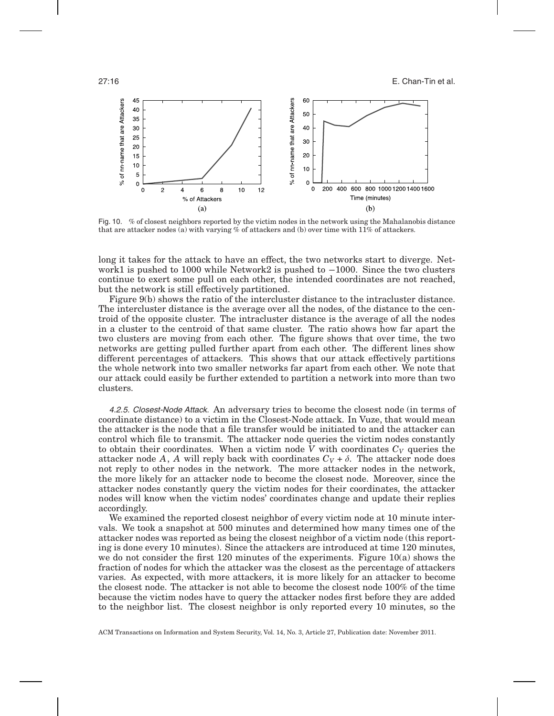

Fig. 10. % of closest neighbors reported by the victim nodes in the network using the Mahalanobis distance that are attacker nodes (a) with varying  $\%$  of attackers and (b) over time with 11% of attackers.

long it takes for the attack to have an effect, the two networks start to diverge. Network1 is pushed to 1000 while Network2 is pushed to  $-1000$ . Since the two clusters continue to exert some pull on each other, the intended coordinates are not reached, but the network is still effectively partitioned.

Figure 9(b) shows the ratio of the intercluster distance to the intracluster distance. The intercluster distance is the average over all the nodes, of the distance to the centroid of the opposite cluster. The intracluster distance is the average of all the nodes in a cluster to the centroid of that same cluster. The ratio shows how far apart the two clusters are moving from each other. The figure shows that over time, the two networks are getting pulled further apart from each other. The different lines show different percentages of attackers. This shows that our attack effectively partitions the whole network into two smaller networks far apart from each other. We note that our attack could easily be further extended to partition a network into more than two clusters.

4.2.5. Closest-Node Attack. An adversary tries to become the closest node (in terms of coordinate distance) to a victim in the Closest-Node attack. In Vuze, that would mean the attacker is the node that a file transfer would be initiated to and the attacker can control which file to transmit. The attacker node queries the victim nodes constantly to obtain their coordinates. When a victim node  $\bar{V}$  with coordinates  $C_V$  queries the attacker node A, A will reply back with coordinates  $C_V + \delta$ . The attacker node does not reply to other nodes in the network. The more attacker nodes in the network, the more likely for an attacker node to become the closest node. Moreover, since the attacker nodes constantly query the victim nodes for their coordinates, the attacker nodes will know when the victim nodes' coordinates change and update their replies accordingly.

We examined the reported closest neighbor of every victim node at 10 minute intervals. We took a snapshot at 500 minutes and determined how many times one of the attacker nodes was reported as being the closest neighbor of a victim node (this reporting is done every 10 minutes). Since the attackers are introduced at time 120 minutes, we do not consider the first 120 minutes of the experiments. Figure 10(a) shows the fraction of nodes for which the attacker was the closest as the percentage of attackers varies. As expected, with more attackers, it is more likely for an attacker to become the closest node. The attacker is not able to become the closest node 100% of the time because the victim nodes have to query the attacker nodes first before they are added to the neighbor list. The closest neighbor is only reported every 10 minutes, so the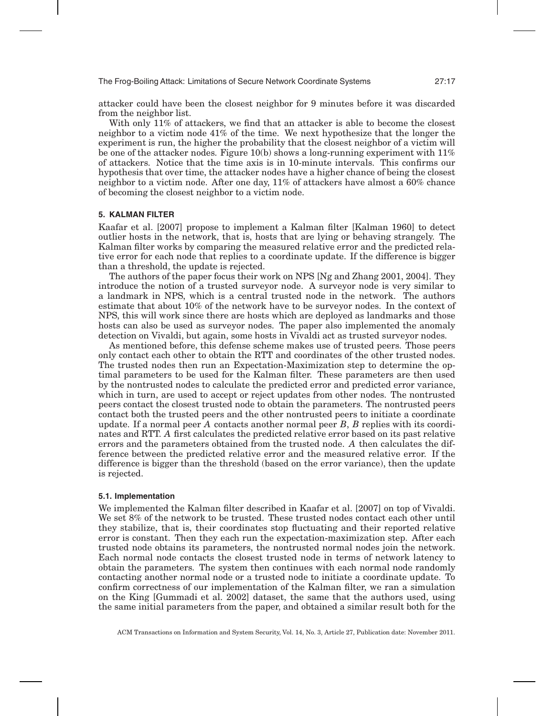attacker could have been the closest neighbor for 9 minutes before it was discarded from the neighbor list.

With only 11% of attackers, we find that an attacker is able to become the closest neighbor to a victim node 41% of the time. We next hypothesize that the longer the experiment is run, the higher the probability that the closest neighbor of a victim will be one of the attacker nodes. Figure  $10(b)$  shows a long-running experiment with  $11\%$ of attackers. Notice that the time axis is in 10-minute intervals. This confirms our hypothesis that over time, the attacker nodes have a higher chance of being the closest neighbor to a victim node. After one day, 11% of attackers have almost a 60% chance of becoming the closest neighbor to a victim node.

#### **5. KALMAN FILTER**

Kaafar et al. [2007] propose to implement a Kalman filter [Kalman 1960] to detect outlier hosts in the network, that is, hosts that are lying or behaving strangely. The Kalman filter works by comparing the measured relative error and the predicted relative error for each node that replies to a coordinate update. If the difference is bigger than a threshold, the update is rejected.

The authors of the paper focus their work on NPS [Ng and Zhang 2001, 2004]. They introduce the notion of a trusted surveyor node. A surveyor node is very similar to a landmark in NPS, which is a central trusted node in the network. The authors estimate that about 10% of the network have to be surveyor nodes. In the context of NPS, this will work since there are hosts which are deployed as landmarks and those hosts can also be used as surveyor nodes. The paper also implemented the anomaly detection on Vivaldi, but again, some hosts in Vivaldi act as trusted surveyor nodes.

As mentioned before, this defense scheme makes use of trusted peers. Those peers only contact each other to obtain the RTT and coordinates of the other trusted nodes. The trusted nodes then run an Expectation-Maximization step to determine the optimal parameters to be used for the Kalman filter. These parameters are then used by the nontrusted nodes to calculate the predicted error and predicted error variance, which in turn, are used to accept or reject updates from other nodes. The nontrusted peers contact the closest trusted node to obtain the parameters. The nontrusted peers contact both the trusted peers and the other nontrusted peers to initiate a coordinate update. If a normal peer *A* contacts another normal peer *B*, *B* replies with its coordinates and RTT. *A* first calculates the predicted relative error based on its past relative errors and the parameters obtained from the trusted node. *A* then calculates the difference between the predicted relative error and the measured relative error. If the difference is bigger than the threshold (based on the error variance), then the update is rejected.

## **5.1. Implementation**

We implemented the Kalman filter described in Kaafar et al. [2007] on top of Vivaldi. We set 8% of the network to be trusted. These trusted nodes contact each other until they stabilize, that is, their coordinates stop fluctuating and their reported relative error is constant. Then they each run the expectation-maximization step. After each trusted node obtains its parameters, the nontrusted normal nodes join the network. Each normal node contacts the closest trusted node in terms of network latency to obtain the parameters. The system then continues with each normal node randomly contacting another normal node or a trusted node to initiate a coordinate update. To confirm correctness of our implementation of the Kalman filter, we ran a simulation on the King [Gummadi et al. 2002] dataset, the same that the authors used, using the same initial parameters from the paper, and obtained a similar result both for the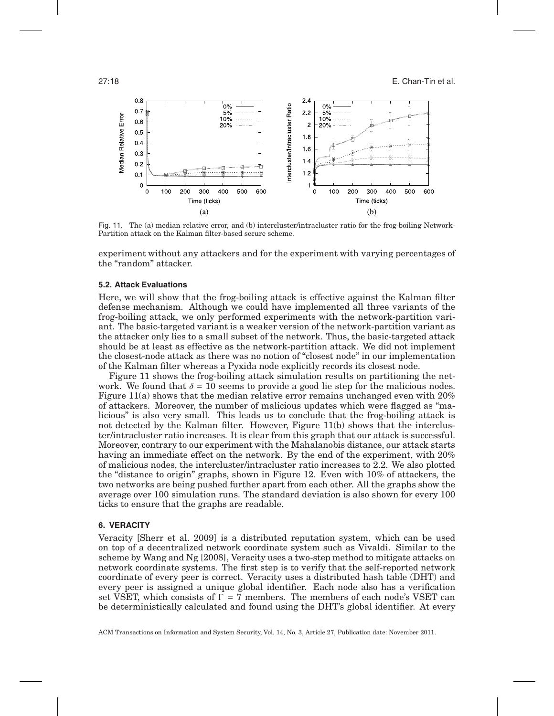27:18 E. Chan-Tin et al.



Fig. 11. The (a) median relative error, and (b) intercluster/intracluster ratio for the frog-boiling Network-Partition attack on the Kalman filter-based secure scheme.

experiment without any attackers and for the experiment with varying percentages of the "random" attacker.

## **5.2. Attack Evaluations**

Here, we will show that the frog-boiling attack is effective against the Kalman filter defense mechanism. Although we could have implemented all three variants of the frog-boiling attack, we only performed experiments with the network-partition variant. The basic-targeted variant is a weaker version of the network-partition variant as the attacker only lies to a small subset of the network. Thus, the basic-targeted attack should be at least as effective as the network-partition attack. We did not implement the closest-node attack as there was no notion of "closest node" in our implementation of the Kalman filter whereas a Pyxida node explicitly records its closest node.

Figure 11 shows the frog-boiling attack simulation results on partitioning the network. We found that  $\delta = 10$  seems to provide a good lie step for the malicious nodes. Figure 11(a) shows that the median relative error remains unchanged even with 20% of attackers. Moreover, the number of malicious updates which were flagged as "malicious" is also very small. This leads us to conclude that the frog-boiling attack is not detected by the Kalman filter. However, Figure 11(b) shows that the intercluster/intracluster ratio increases. It is clear from this graph that our attack is successful. Moreover, contrary to our experiment with the Mahalanobis distance, our attack starts having an immediate effect on the network. By the end of the experiment, with 20% of malicious nodes, the intercluster/intracluster ratio increases to 2.2. We also plotted the "distance to origin" graphs, shown in Figure 12. Even with 10% of attackers, the two networks are being pushed further apart from each other. All the graphs show the average over 100 simulation runs. The standard deviation is also shown for every 100 ticks to ensure that the graphs are readable.

## **6. VERACITY**

Veracity [Sherr et al. 2009] is a distributed reputation system, which can be used on top of a decentralized network coordinate system such as Vivaldi. Similar to the scheme by Wang and Ng [2008], Veracity uses a two-step method to mitigate attacks on network coordinate systems. The first step is to verify that the self-reported network coordinate of every peer is correct. Veracity uses a distributed hash table (DHT) and every peer is assigned a unique global identifier. Each node also has a verification set VSET, which consists of  $\Gamma = 7$  members. The members of each node's VSET can be deterministically calculated and found using the DHT's global identifier. At every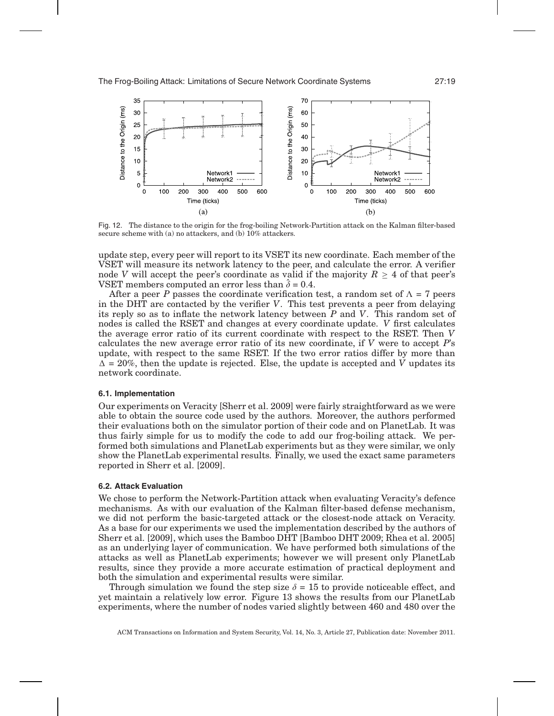

Fig. 12. The distance to the origin for the frog-boiling Network-Partition attack on the Kalman filter-based secure scheme with (a) no attackers, and (b) 10% attackers.

update step, every peer will report to its VSET its new coordinate. Each member of the VSET will measure its network latency to the peer, and calculate the error. A verifier node *V* will accept the peer's coordinate as valid if the majority  $R > 4$  of that peer's VSET members computed an error less than  $\delta = 0.4$ .

After a peer P passes the coordinate verification test, a random set of  $\Lambda = 7$  peers in the DHT are contacted by the verifier *V*. This test prevents a peer from delaying its reply so as to inflate the network latency between *P* and *V*. This random set of nodes is called the RSET and changes at every coordinate update. *V* first calculates the average error ratio of its current coordinate with respect to the RSET. Then *V* calculates the new average error ratio of its new coordinate, if *V* were to accept *P*'s update, with respect to the same RSET. If the two error ratios differ by more than  $\Delta = 20\%$ , then the update is rejected. Else, the update is accepted and *V* updates its network coordinate.

## **6.1. Implementation**

Our experiments on Veracity [Sherr et al. 2009] were fairly straightforward as we were able to obtain the source code used by the authors. Moreover, the authors performed their evaluations both on the simulator portion of their code and on PlanetLab. It was thus fairly simple for us to modify the code to add our frog-boiling attack. We performed both simulations and PlanetLab experiments but as they were similar, we only show the PlanetLab experimental results. Finally, we used the exact same parameters reported in Sherr et al. [2009].

## **6.2. Attack Evaluation**

We chose to perform the Network-Partition attack when evaluating Veracity's defence mechanisms. As with our evaluation of the Kalman filter-based defense mechanism, we did not perform the basic-targeted attack or the closest-node attack on Veracity. As a base for our experiments we used the implementation described by the authors of Sherr et al. [2009], which uses the Bamboo DHT [Bamboo DHT 2009; Rhea et al. 2005] as an underlying layer of communication. We have performed both simulations of the attacks as well as PlanetLab experiments; however we will present only PlanetLab results, since they provide a more accurate estimation of practical deployment and both the simulation and experimental results were similar.

Through simulation we found the step size  $\delta = 15$  to provide noticeable effect, and yet maintain a relatively low error. Figure 13 shows the results from our PlanetLab experiments, where the number of nodes varied slightly between 460 and 480 over the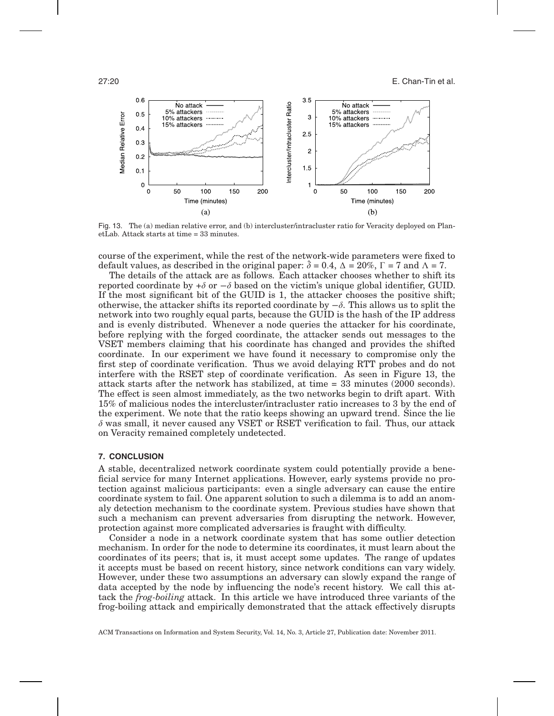27:20 E. Chan-Tin et al.



Fig. 13. The (a) median relative error, and (b) intercluster/intracluster ratio for Veracity deployed on PlanetLab. Attack starts at time = 33 minutes.

course of the experiment, while the rest of the network-wide parameters were fixed to default values, as described in the original paper:  $\delta = 0.4$ ,  $\Delta = 20\%$ ,  $\Gamma = 7$  and  $\Lambda = 7$ .

The details of the attack are as follows. Each attacker chooses whether to shift its reported coordinate by + $\delta$  or  $-\delta$  based on the victim's unique global identifier, GUID. If the most significant bit of the GUID is 1, the attacker chooses the positive shift; otherwise, the attacker shifts its reported coordinate by  $-\delta$ . This allows us to split the network into two roughly equal parts, because the GUID is the hash of the IP address and is evenly distributed. Whenever a node queries the attacker for his coordinate, before replying with the forged coordinate, the attacker sends out messages to the VSET members claiming that his coordinate has changed and provides the shifted coordinate. In our experiment we have found it necessary to compromise only the first step of coordinate verification. Thus we avoid delaying RTT probes and do not interfere with the RSET step of coordinate verification. As seen in Figure 13, the attack starts after the network has stabilized, at time = 33 minutes (2000 seconds). The effect is seen almost immediately, as the two networks begin to drift apart. With 15% of malicious nodes the intercluster/intracluster ratio increases to 3 by the end of the experiment. We note that the ratio keeps showing an upward trend. Since the lie  $\delta$  was small, it never caused any VSET or RSET verification to fail. Thus, our attack on Veracity remained completely undetected.

## **7. CONCLUSION**

A stable, decentralized network coordinate system could potentially provide a beneficial service for many Internet applications. However, early systems provide no protection against malicious participants: even a single adversary can cause the entire coordinate system to fail. One apparent solution to such a dilemma is to add an anomaly detection mechanism to the coordinate system. Previous studies have shown that such a mechanism can prevent adversaries from disrupting the network. However, protection against more complicated adversaries is fraught with difficulty.

Consider a node in a network coordinate system that has some outlier detection mechanism. In order for the node to determine its coordinates, it must learn about the coordinates of its peers; that is, it must accept some updates. The range of updates it accepts must be based on recent history, since network conditions can vary widely. However, under these two assumptions an adversary can slowly expand the range of data accepted by the node by influencing the node's recent history. We call this attack the *frog-boiling* attack. In this article we have introduced three variants of the frog-boiling attack and empirically demonstrated that the attack effectively disrupts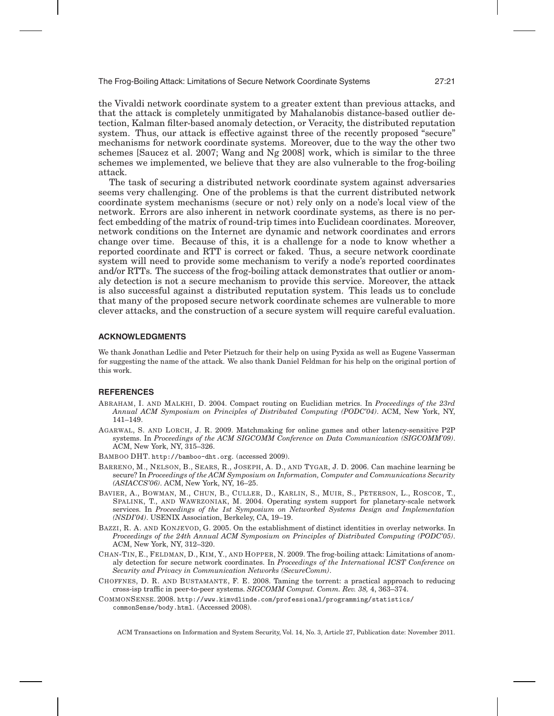the Vivaldi network coordinate system to a greater extent than previous attacks, and that the attack is completely unmitigated by Mahalanobis distance-based outlier detection, Kalman filter-based anomaly detection, or Veracity, the distributed reputation system. Thus, our attack is effective against three of the recently proposed "secure" mechanisms for network coordinate systems. Moreover, due to the way the other two schemes [Saucez et al. 2007; Wang and Ng 2008] work, which is similar to the three schemes we implemented, we believe that they are also vulnerable to the frog-boiling attack.

The task of securing a distributed network coordinate system against adversaries seems very challenging. One of the problems is that the current distributed network coordinate system mechanisms (secure or not) rely only on a node's local view of the network. Errors are also inherent in network coordinate systems, as there is no perfect embedding of the matrix of round-trip times into Euclidean coordinates. Moreover, network conditions on the Internet are dynamic and network coordinates and errors change over time. Because of this, it is a challenge for a node to know whether a reported coordinate and RTT is correct or faked. Thus, a secure network coordinate system will need to provide some mechanism to verify a node's reported coordinates and/or RTTs. The success of the frog-boiling attack demonstrates that outlier or anomaly detection is not a secure mechanism to provide this service. Moreover, the attack is also successful against a distributed reputation system. This leads us to conclude that many of the proposed secure network coordinate schemes are vulnerable to more clever attacks, and the construction of a secure system will require careful evaluation.

#### **ACKNOWLEDGMENTS**

We thank Jonathan Ledlie and Peter Pietzuch for their help on using Pyxida as well as Eugene Vasserman for suggesting the name of the attack. We also thank Daniel Feldman for his help on the original portion of this work.

## **REFERENCES**

- ABRAHAM, I. AND MALKHI, D. 2004. Compact routing on Euclidian metrics. In *Proceedings of the 23rd Annual ACM Symposium on Principles of Distributed Computing (PODC'04)*. ACM, New York, NY, 141–149.
- AGARWAL, S. AND LORCH, J. R. 2009. Matchmaking for online games and other latency-sensitive P2P systems. In *Proceedings of the ACM SIGCOMM Conference on Data Communication (SIGCOMM'09)*. ACM, New York, NY, 315–326.
- BAMBOO DHT. http://bamboo-dht.org. (accessed 2009).
- BARRENO, M., NELSON, B., SEARS, R., JOSEPH, A. D., AND TYGAR, J. D. 2006. Can machine learning be secure? In *Proceedings of the ACM Symposium on Information, Computer and Communications Security (ASIACCS'06)*. ACM, New York, NY, 16–25.
- BAVIER, A., BOWMAN, M., CHUN, B., CULLER, D., KARLIN, S., MUIR, S., PETERSON, L., ROSCOE, T., SPALINK, T., AND WAWRZONIAK, M. 2004. Operating system support for planetary-scale network services. In *Proceedings of the 1st Symposium on Networked Systems Design and Implementation (NSDI'04)*. USENIX Association, Berkeley, CA, 19–19.
- BAZZI, R. A. AND KONJEVOD, G. 2005. On the establishment of distinct identities in overlay networks. In *Proceedings of the 24th Annual ACM Symposium on Principles of Distributed Computing (PODC'05)*. ACM, New York, NY, 312–320.
- CHAN-TIN, E., FELDMAN, D., KIM, Y., AND HOPPER, N. 2009. The frog-boiling attack: Limitations of anomaly detection for secure network coordinates. In *Proceedings of the International ICST Conference on Security and Privacy in Communication Networks (SecureComm)*.
- CHOFFNES, D. R. AND BUSTAMANTE, F. E. 2008. Taming the torrent: a practical approach to reducing cross-isp traffic in peer-to-peer systems. *SIGCOMM Comput. Comm. Rev. 38,* 4, 363–374.
- COMMONSENSE. 2008. http://www.kimvdlinde.com/professional/programming/statistics/ commonSense/body.html. (Accessed 2008).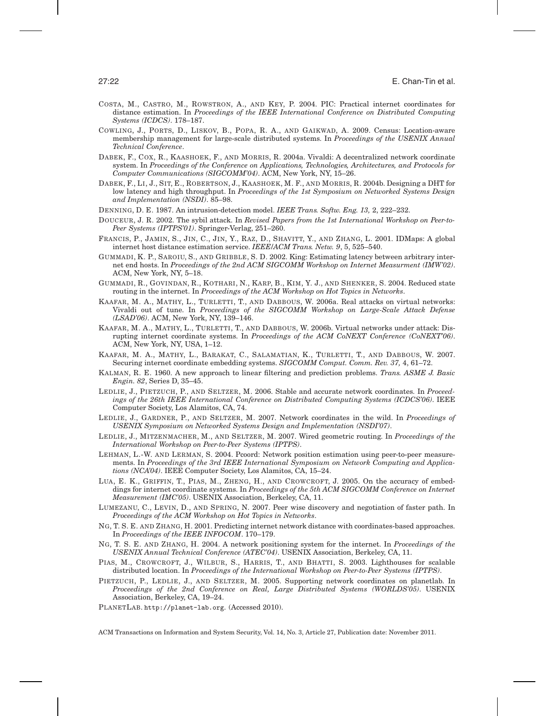- COSTA, M., CASTRO, M., ROWSTRON, A., AND KEY, P. 2004. PIC: Practical internet coordinates for distance estimation. In *Proceedings of the IEEE International Conference on Distributed Computing Systems (ICDCS)*. 178–187.
- COWLING, J., PORTS, D., LISKOV, B., POPA, R. A., AND GAIKWAD, A. 2009. Census: Location-aware membership management for large-scale distributed systems. In *Proceedings of the USENIX Annual Technical Conference*.
- DABEK, F., COX, R., KAASHOEK, F., AND MORRIS, R. 2004a. Vivaldi: A decentralized network coordinate system. In *Proceedings of the Conference on Applications, Technologies, Architectures, and Protocols for Computer Communications (SIGCOMM'04)*. ACM, New York, NY, 15–26.
- DABEK, F., LI, J., SIT, E., ROBERTSON, J., KAASHOEK, M. F., AND MORRIS, R. 2004b. Designing a DHT for low latency and high throughput. In *Proceedings of the 1st Symposium on Networked Systems Design and Implementation (NSDI)*. 85–98.
- DENNING, D. E. 1987. An intrusion-detection model. *IEEE Trans. Softw. Eng. 13,* 2, 222–232.
- DOUCEUR, J. R. 2002. The sybil attack. In *Revised Papers from the 1st International Workshop on Peer-to-Peer Systems (IPTPS'01)*. Springer-Verlag, 251–260.
- FRANCIS, P., JAMIN, S., JIN, C., JIN, Y., RAZ, D., SHAVITT, Y., AND ZHANG, L. 2001. IDMaps: A global internet host distance estimation service. *IEEE/ACM Trans. Netw. 9*, 5, 525–540.
- GUMMADI, K. P., SAROIU, S., AND GRIBBLE, S. D. 2002. King: Estimating latency between arbitrary internet end hosts. In *Proceedings of the 2nd ACM SIGCOMM Workshop on Internet Measurment (IMW'02)*. ACM, New York, NY, 5–18.
- GUMMADI, R., GOVINDAN, R., KOTHARI, N., KARP, B., KIM, Y. J., AND SHENKER, S. 2004. Reduced state routing in the internet. In *Proceedings of the ACM Workshop on Hot Topics in Networks*.
- KAAFAR, M. A., MATHY, L., TURLETTI, T., AND DABBOUS, W. 2006a. Real attacks on virtual networks: Vivaldi out of tune. In *Proceedings of the SIGCOMM Workshop on Large-Scale Attack Defense (LSAD'06)*. ACM, New York, NY, 139–146.
- KAAFAR, M. A., MATHY, L., TURLETTI, T., AND DABBOUS, W. 2006b. Virtual networks under attack: Disrupting internet coordinate systems. In *Proceedings of the ACM CoNEXT Conference (CoNEXT'06)*. ACM, New York, NY, USA, 1–12.
- KAAFAR, M. A., MATHY, L., BARAKAT, C., SALAMATIAN, K., TURLETTI, T., AND DABBOUS, W. 2007. Securing internet coordinate embedding systems. *SIGCOMM Comput. Comm. Rev. 37,* 4, 61–72.
- KALMAN, R. E. 1960. A new approach to linear filtering and prediction problems. *Trans. ASME J. Basic Engin. 82*, Series D, 35–45.
- LEDLIE, J., PIETZUCH, P., AND SELTZER, M. 2006. Stable and accurate network coordinates. In *Proceedings of the 26th IEEE International Conference on Distributed Computing Systems (ICDCS'06)*. IEEE Computer Society, Los Alamitos, CA, 74.
- LEDLIE, J., GARDNER, P., AND SELTZER, M. 2007. Network coordinates in the wild. In *Proceedings of USENIX Symposium on Networked Systems Design and Implementation (NSDI'07)*.
- LEDLIE, J., MITZENMACHER, M., AND SELTZER, M. 2007. Wired geometric routing. In *Proceedings of the International Workshop on Peer-to-Peer Systems (IPTPS)*.
- LEHMAN, L.-W. AND LERMAN, S. 2004. Pcoord: Network position estimation using peer-to-peer measurements. In *Proceedings of the 3rd IEEE International Symposium on Network Computing and Applications (NCA'04)*. IEEE Computer Society, Los Alamitos, CA, 15–24.
- LUA, E. K., GRIFFIN, T., PIAS, M., ZHENG, H., AND CROWCROFT, J. 2005. On the accuracy of embeddings for internet coordinate systems. In *Proceedings of the 5th ACM SIGCOMM Conference on Internet Measurement (IMC'05)*. USENIX Association, Berkeley, CA, 11.
- LUMEZANU, C., LEVIN, D., AND SPRING, N. 2007. Peer wise discovery and negotiation of faster path. In *Proceedings of the ACM Workshop on Hot Topics in Networks*.
- NG, T. S. E. AND ZHANG, H. 2001. Predicting internet network distance with coordinates-based approaches. In *Proceedings of the IEEE INFOCOM*. 170–179.
- NG, T. S. E. AND ZHANG, H. 2004. A network positioning system for the internet. In *Proceedings of the USENIX Annual Technical Conference (ATEC'04)*. USENIX Association, Berkeley, CA, 11.
- PIAS, M., CROWCROFT, J., WILBUR, S., HARRIS, T., AND BHATTI, S. 2003. Lighthouses for scalable distributed location. In *Proceedings of the International Workshop on Peer-to-Peer Systems (IPTPS)*.
- PIETZUCH, P., LEDLIE, J., AND SELTZER, M. 2005. Supporting network coordinates on planetlab. In *Proceedings of the 2nd Conference on Real, Large Distributed Systems (WORLDS'05)*. USENIX Association, Berkeley, CA, 19–24.
- PLANETLAB. http://planet-lab.org. (Accessed 2010).